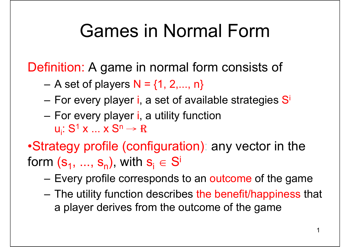#### Games in Normal Form

Definition: A game in normal form consists of

- A set of players  $N = \{1, 2, ..., n\}$
- –For every player i, a set of available strategies S<sup>i</sup>
- –For every player *i*, a utility function u<sub>i</sub>: S<sup>1</sup> x ... x S  $\mathsf{n} \to \mathsf{R}$
- •Strategy profile (configuration): any vector in the form  $({\bf s}_1,\,...,\,{\bf s}_{\sf n})$ , with  ${\bf s}_{\sf i}\in{\sf S}^{\sf i}$ 
	- –Every profile corresponds to an outcome of the game
	- <del>katalog a katalog a katalog</del> The utility function describes the benefit/happiness that a player derives from the outcome of the game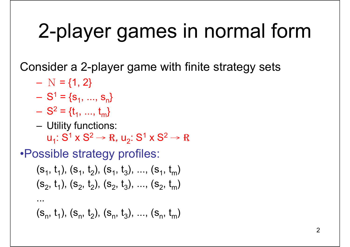# 2-player games in normal form

Consider a 2-player game with finite strategy sets

 $- N = \{1, 2\}$ 

...

- $S^1 = \{s_1, ..., s_n\}$
- $S^2 = \{t_1, ..., t_m\}$
- –Utility functions:

 $\mathsf{u}_1$ :  $\mathsf{S}^1 \mathsf{\times} \mathsf{S}^2 \mathchoice{\longrightarrow}{\rightarrow}{\rightarrow}{\rightarrow} \mathsf{R}, \, \mathsf{u}_2$ :  $\mathsf{S}^1 \mathsf{\times} \mathsf{S}^2 \mathchoice{\longrightarrow}{\rightarrow}{\rightarrow}{\rightarrow} \mathsf{R}$ 

•Possible strategy profiles:

$$
(s_1, t_1), (s_1, t_2), (s_1, t_3), ..., (s_1, t_m)
$$
  
 $(s_2, t_1), (s_2, t_2), (s_2, t_3), ..., (s_2, t_m)$ 

 $(s_n, t_1), (s_n, t_2), (s_n, t_3), ..., (s_n, t_m)$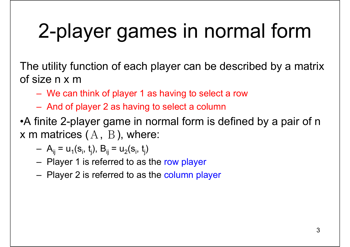# 2-player games in normal form

The utility function of each player can be described by a matri x of size n x m

- –We can think of player 1 as having to select a row
- And of player 2 as having to select a column

•A finite 2-player game in normal form is defined by a pair of <sup>n</sup> **x** m matrices  $(A, \ B$  ), where:

$$
- A_{ij} = u_1(s_i, t_j), B_{ij} = u_2(s_i, t_j)
$$

- Player 1 is referred to as the row player
- Player 2 is referred to as the column player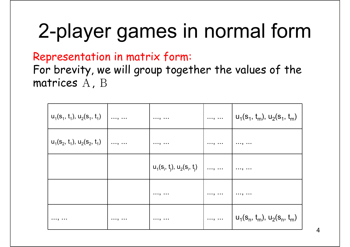# 2-player games in normal form

Representation in matrix form:

For brevity, we will group together the values of the matrices Α, Β

| $u_1(s_1, t_1), u_2(s_1, t_1)$ | . ,              | ,                              | $\ldots, \ldots$ | $u_1(s_1, t_m)$ , $u_2(s_1, t_m)$ |
|--------------------------------|------------------|--------------------------------|------------------|-----------------------------------|
| $u_1(s_2, t_1), u_2(s_2, t_1)$ | $\ldots, \ldots$ | ,                              | ,                | ,                                 |
|                                |                  | $u_1(s_i, t_j), u_2(s_i, t_j)$ | . ,              | ,                                 |
|                                |                  | ,                              | ,                | ,                                 |
| ,                              | ,                | ,                              | $\ldots, \ldots$ | $u_1(s_n, t_m)$ , $u_2(s_n, t_m)$ |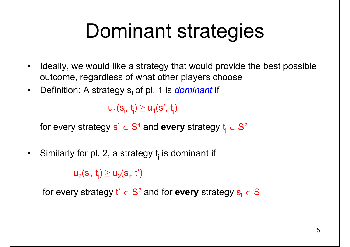## Dominant strategies

- $\bullet$  Ideally, we would like a strategy that would provide the best possible outcome, regardless of what other players choose
- •<u>Definition</u>: A strategy s<sub>i</sub> of pl. 1 is *dominant* if

 $u_1(s_i, t_j) \ge u_1(s', t_j)$ 

for every strategy  $\mathbf{s}'\in\mathbf{S}^1$  and  $\mathbf{every}$  strategy  $\mathsf{t}_{\mathsf{j}}\in\mathbf{S}$ 2

 $\bullet$ Similarly for pl. 2, a strategy  $t_i$  is dominant if

 ${\sf u}_2({\sf s}_{\sf i},\,{\sf t}_{\sf j})\geq {\sf u}_2({\sf s}_{\sf i},\,{\sf t}')$ 

for every strategy t'  $\in$  S  $^{\mathsf{2}}$  and for **every** strategy  $\mathbf{s_i} \in \mathsf{S}^{\mathsf{1}}$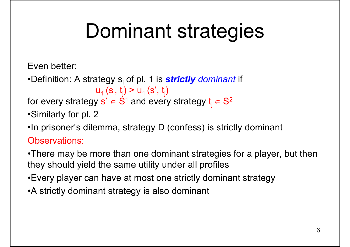# Dominant strategies

Even better:

•<u>Definition</u>: A strategy s<sub>i</sub> of pl. 1 is *strictly dominant* if  $u_1$  (s<sub>i</sub>, t<sub>i</sub>) >  $u_1$  (s', t<sub>i</sub>)

for every strategy  $\mathbf{s}'\in\mathbf{S}^{\mathsf{1}}$  and every strategy  $\mathsf{t}_{\mathsf{j}}\in\mathbf{S}$ 2

•Similarly for pl. 2

•In prisoner's dilemma, strategy D (confess) is strictly dominant Observations:

•There may be more than one dominant strategies for a player, but then they should yield the same utility under all profiles

•Every player can have at most one strictly dominant strategy

•A strictly dominant strategy is also dominant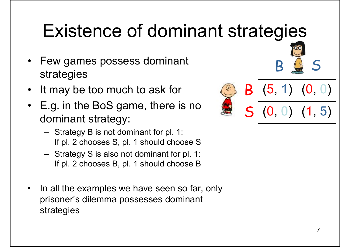## Existence of dominant strategies

- • Few games possess dominant strategies
- •It may be too much to ask for
- • E.g. in the BoS game, there is no dominant strategy:
	- Strategy B is not dominant for pl. 1: If pl. 2 chooses S, pl. 1 should choose S
	- Strategy S is also not dominant for pl. 1: If pl. 2 chooses B, pl. 1 should choose B
- • In all the examples we have seen so far, only prisoner's dilemma possesses dominant strategies



B

S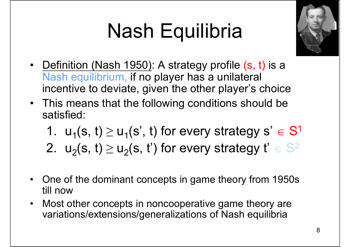# Nash Equilibria



- Definition (Nash 1950): A strategy profile (s, t) is a Nash equilibrium, if no player has a unilateral incentive to deviate, given the other player's choice
- This means that the following conditions should be satisfied:
	- 1.  $u_1(s, t) \geq u_1(s', t)$  for every strategy  $s' \in S$ 1
	- 2.  $\mathsf{u}_2(\mathsf{s},\mathsf{t})\geq \mathsf{u}_2(\mathsf{s},\mathsf{t}')$  for every strategy  $\mathsf{t}'\in\mathbb{S}$ 2
- $\bullet$  One of the dominant concepts in game theory from 1950s till now
- $\bullet$  Most other concepts in noncooperative game theory are variations/extensions/generalizations of Nash equilibria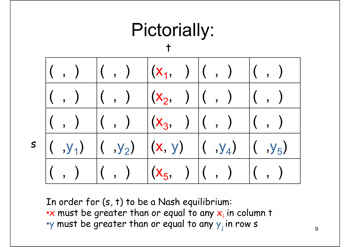

In order for (s, t) to be a Nash equilibrium:  $\bullet\mathsf{x}$  must be greater than or equal to any  $\mathsf{x}_\mathsf{i}$  in column t  $\cdot$ y must be greater than or equal to any  $y_j$  in row s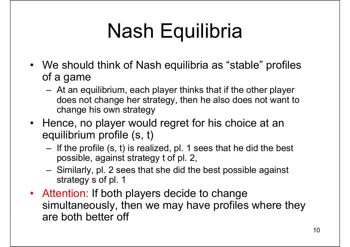# Nash Equilibria

- We should think of Nash equilibria as "stable" profiles of a game
	- At an equilibrium, each player thinks that if the other player does not change her strategy, then he also does not want to change his own strategy
- Hence, no player would regret for his choice at an equilibrium profile (s, t)
	- If the profile (s, t) is realized, pl. 1 sees that he did the best possible, against strategy t of pl. 2,
	- Similarly, pl. 2 sees that she did the best possible against strategy s of pl. 1
- Attention: If both players decide to change simultaneously, then we may have profiles where they are both better off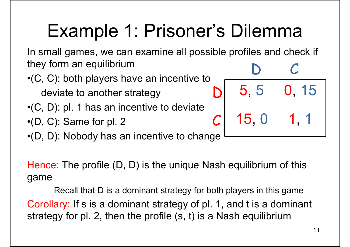### Example 1: Prisoner's Dilemma

In small games, we can examine all possible profiles and check if they form an equilibrium D C

5, 5

D

 $\boldsymbol{\mathcal{C}}$ 

15, 0

•(C, C): both players have an incentive to

deviate to another strategy

- •(C, D): pl. 1 has an incentive to deviate
- •(D, C): Same for pl. 2
- •(D, D): Nobody has an incentive to change

Hence: The profile (D, D) is the unique Nash equilibrium of this game

– Charles Corp. Recall that D is a dominant strategy for both players in this game Corollary: If s is a dominant strategy of pl. 1, and t is a dominant strategy for pl. 2, then the profile (s, t) is a Nash equilibriu m

0, 15

1, 1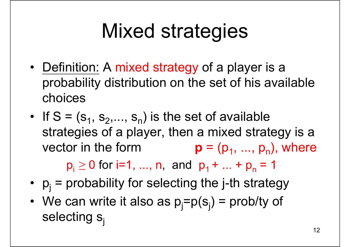# Mixed strategies

- Definition: A mixed strategy of a player is a probability distribution on the set of his available choices
- If S =  $(s_1, s_2,..., s_n)$  is the set of available strategies of a player, then a mixed strategy is a vector in the form  ${\bf p} = (p_1, ..., p_n)$ , where

 ${\sf p}_{\sf i}\geq {\sf 0}$  for i=1, ..., n, and  $\vert {\sf p}_{\sf 1}+...+{\sf p}_{\sf n}\vert$  = 1

- $p_j$  = probability for selecting the j-th strategy
- We can write it also as  $p_j = p(s_j) = \text{probability of }$ selecting  $s_i$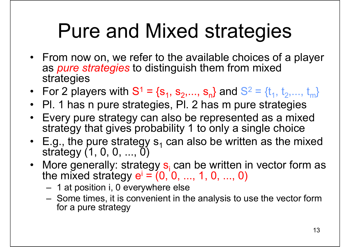## Pure and Mixed strategies

- From now on, we refer to the available choices of a player as *pure strategies* to distinguish them from mixed strategies
- For 2 players with S  $1 = \{s_1, s_2, ..., s_n\}$  and S  $2 = \{t_1, t_2, \ldots, t_m\}$
- Pl. 1 has n pure strategies, Pl. 2 has m pure strategies
- Every pure strategy can also be represented as a mixed strategy that gives probability 1 to only a single choice
- E.g., the pure strategy  $\mathtt{s}_\mathtt{1}$ E.g., the pure strategy s<sub>1</sub> can also be written as the mixed<br>strategy (1, 0, 0, ..., 0)
- More generally: strategy  $s_i$  can be written in vector form as the mixed strategy  $e^i = (0, 0, ..., 1, 0, ..., 0)$ the mixed strategy  $e^{i} = (0, 0, ..., 1, 0, ..., 0)$ 
	- 1 at position i, 0 everywhere else
	- Some times, it is convenient in the analysis to use the vector form for a pure strategy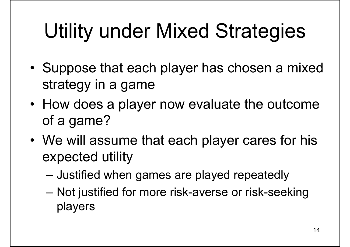# Utility under Mixed Strategies

- • Suppose that each player has chosen a mixed strategy in a game
- • How does a player now evaluate the outcome of a game?
- • We will assume that each player cares for his expected utility
	- Justified when games are played repeatedly
	- Charles College (Charles College) Not justified for more risk-averse or risk-seeking players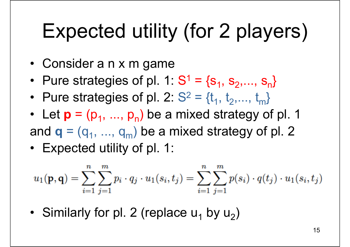# Expected utility (for 2 players)

- Consider a n x m game
- Pure strategies of pl. 1: S  $1 = \{s_1, s_2, ..., s_n\}$
- Pure strategies of pl. 2: S  $2 = \{t_1, t_2, \ldots, t_m\}$
- Let  $\mathbf{p} = (p_1, ..., p_n)$  be a mixed strategy of pl. 1 and  $\mathbf{q} = (q_1, \, ..., \, q_m)$  be a mixed strategy of pl. 2
- Expected utility of pl. 1:

$$
u_1(\mathbf{p}, \mathbf{q}) = \sum_{i=1}^n \sum_{j=1}^m p_i \cdot q_j \cdot u_1(s_i, t_j) = \sum_{i=1}^n \sum_{j=1}^m p(s_i) \cdot q(t_j) \cdot u_1(s_i, t_j)
$$

• Similarly for pl. 2 (replace  $u_1$  by  $u_2$ )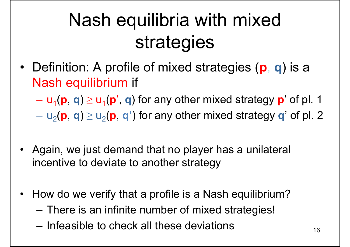## Nash equilibria with mixed strategies

• Definition: A profile of mixed strategies ( **p**, **q**) is a Nash equilibrium if

 $u_1$ ( $\bf{p}$ ,  $\bf{q}$ )  $\ge u_1$ ( $\bf{p}'$ ,  $\bf{q}$ ) for any other mixed strategy  $\bf{p}'$  of pl. 1

 $-$  u<sub>2</sub>(**p**, **q**)  $\geq$  u<sub>2</sub>(**p**, **q**') for any other mixed strategy **q**' of pl. 2

- Again, we just demand that no player has a unilateral incentive to deviate to another strategy
- • How do we verify that a profile is a Nash equilibrium?
	- There is an infinite number of mixed strategies!
	- –Infeasible to check all these deviations  $16$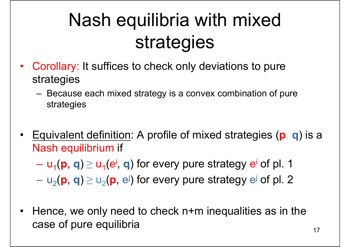## Nash equilibria with mixed strategies

- Corollary: It suffices to check only deviations to pure strategies
	- – Because each mixed strategy is a convex combination of pure strategies
- • Equivalent definition: A profile of mixed strategies ( **p**, **q**) is a Nash equilibrium if

 $u_1$ ( $\bf{p},$   $\bf{q})$   $\geq$   $u_1$ ( $\bf{e}^i$ ,  $\bf{q}$ ) for every pure strategy  $\bf{e}^i$  of  $\bf{p}$ l. 1

 $-$  u<sub>2</sub>(**p**, **q**)  $\geq$  u<sub>2</sub>(**p**, e<sup>j</sup>) for every pure strategy e<sup>j</sup> of pl. 2

 $\bullet$  Hence, we only need to check n+m inequalities as in the case of pure equilibria  $17$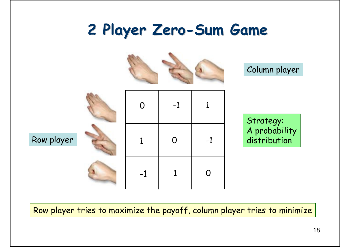#### **2 Player Zero 2 Player Zero-Sum Game Sum Game**



Row player tries to maximize the payoff, column player tries to minimize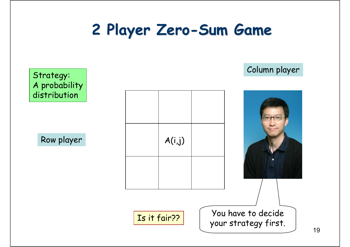#### **2 Player Zero 2 Player Zero-Sum Game Sum Game**

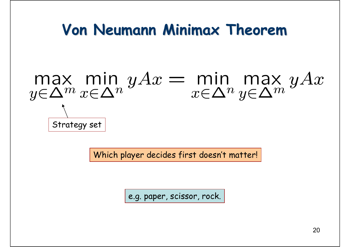#### **Von Neumann Minimax Theorem Von Neumann Minimax Theorem**

# max min  $yAx = min$  min max  $yAx$ <br> $y \in \Delta^m x \in \Delta^n y \in \Delta^m y \in \Delta^m y$ Strategy set

Which player decides first doesn't matter!

e.g. paper, scissor, rock.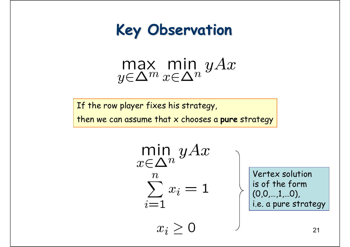

 $\max_{y \in \Delta^m} \min_{x \in \Delta^n} yAx$ 

If the row player fixes his strategy,

then we can assume that x chooses a **pure** strategy

 $\min_{x \in \Delta^n} yAx$  $\boldsymbol{n}$  $\sum_{}^n x_i = 1$  $i=1$ 

 $x_i > 0$ 

Vertex solution is of the form  $(0,0,...,1,...0)$ , i.e. a pure strategy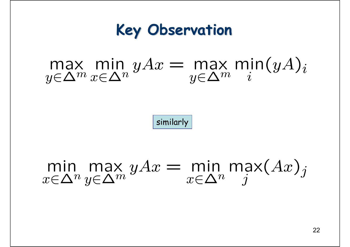#### **Key Observation Key Observation**

# $\max_{y \in \Delta^m} \min_{x \in \Delta^n} yAx = \max_{y \in \Delta^m} \min_i (yA)_i$

similarly

min max  $yAx = \min_{x \in \Delta^n} \max(Ax)_j$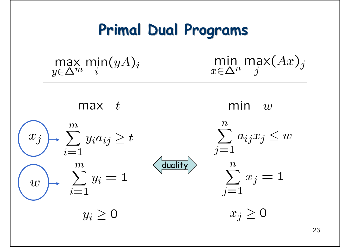#### **Primal Dual Programs Primal Dual Programs**

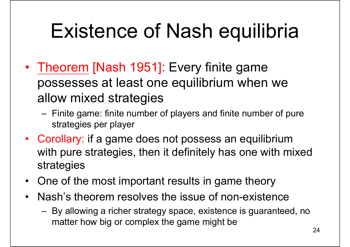# Existence of Nash equilibria

- Theorem [Nash 1951]: Every finite game possesses at least one equilibrium when we allow mixed strategies
	- Finite game: finite number of players and finite number of pure strategies per player
- Corollary: if a game does not possess an equilibrium with pure strategies, then it definitely has one with mixed strategies
- $\bullet$ One of the most important results in game theory
- $\bullet$  Nash's theorem resolves the issue of non-existence
	- By allowing a richer strategy space, existence is guaranteed, no matter how big or complex the game might be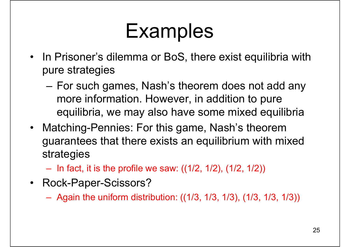## Examples

- In Prisoner's dilemma or BoS, there exist equilibria with pure strategies
	- For such games, Nash's theorem does not add any more information. However, in addition to pure equilibria, we may also have some mixed equilibria
- Matching-Pennies: For this game, Nash's theorem guarantees that there exists an equilibrium with mixed strategies
	- In fact, it is the profile we saw: ((1/2, 1/2), (1/2, 1/2))
- Rock-Paper-Scissors?
	- Again the uniform distribution: ((1/3, 1/3, 1/3), (1/3, 1/3, 1/3))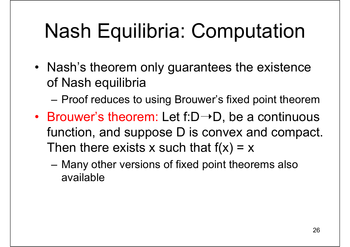# Nash Equilibria: Computation

• Nash's theorem only guarantees the existence of Nash equilibria

–Proof reduces to using Brouwer's fixed point theorem

- Brouwer's theorem: Let  $f:D\rightarrow D$ , be a continuous function, and suppose D is convex and compact. Then there exists x such that  $f(x) = x$ 
	- Many other versions of fixed point theorems also available